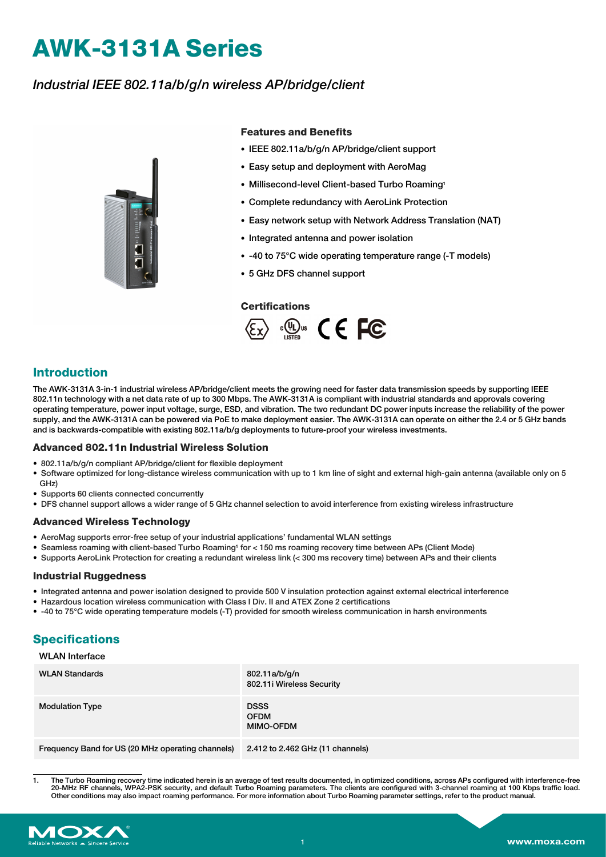# **AWK-3131A Series**

# *Industrial IEEE 802.11a/b/g/n wireless AP/bridge/client*



#### **Features and Benefits**

- IEEE 802.11a/b/g/n AP/bridge/client support
- Easy setup and deployment with AeroMag
- Millisecond-level Client-based Turbo Roaming1
- Complete redundancy with AeroLink Protection
- Easy network setup with Network Address Translation (NAT)
- Integrated antenna and power isolation
- -40 to 75°C wide operating temperature range (-T models)
- 5 GHz DFS channel support

#### **Certifications**



## **Introduction**

The AWK-3131A 3-in-1 industrial wireless AP/bridge/client meets the growing need for faster data transmission speeds by supporting IEEE 802.11n technology with a net data rate of up to 300 Mbps. The AWK-3131A is compliant with industrial standards and approvals covering operating temperature, power input voltage, surge, ESD, and vibration. The two redundant DC power inputs increase the reliability of the power supply, and the AWK-3131A can be powered via PoE to make deployment easier. The AWK-3131A can operate on either the 2.4 or 5 GHz bands and is backwards-compatible with existing 802.11a/b/g deployments to future-proof your wireless investments.

#### **Advanced 802.11n Industrial Wireless Solution**

- 802.11a/b/g/n compliant AP/bridge/client for flexible deployment
- Software optimized for long-distance wireless communication with up to 1 km line of sight and external high-gain antenna (available only on 5 GHz)
- Supports 60 clients connected concurrently
- DFS channel support allows a wider range of 5 GHz channel selection to avoid interference from existing wireless infrastructure

#### **Advanced Wireless Technology**

- AeroMag supports error-free setup of your industrial applications' fundamental WLAN settings
- Seamless roaming with client-based Turbo Roaming1 for < 150 ms roaming recovery time between APs (Client Mode)
- Supports AeroLink Protection for creating a redundant wireless link (< 300 ms recovery time) between APs and their clients

#### **Industrial Ruggedness**

- Integrated antenna and power isolation designed to provide 500 V insulation protection against external electrical interference
- Hazardous location wireless communication with Class I Div. II and ATEX Zone 2 certifications
- -40 to 75°C wide operating temperature models (-T) provided for smooth wireless communication in harsh environments

## **Specifications**

### WLAN Interface

| <b>WLAN Standards</b>                             | 802.11a/b/g/n<br>802.11i Wireless Security     |
|---------------------------------------------------|------------------------------------------------|
| <b>Modulation Type</b>                            | <b>DSSS</b><br><b>OFDM</b><br><b>MIMO-OFDM</b> |
| Frequency Band for US (20 MHz operating channels) | 2.412 to 2.462 GHz (11 channels)               |

<sup>1.</sup> The Turbo Roaming recovery time indicated herein is an average of test results documented, in optimized conditions, across APs configured with interference-free 20-MHz RF channels, WPA2-PSK security, and default Turbo Roaming parameters. The clients are configured with 3-channel roaming at 100 Kbps traffic load. Other conditions may also impact roaming performance. For more information about Turbo Roaming parameter settings, refer to the product manual.

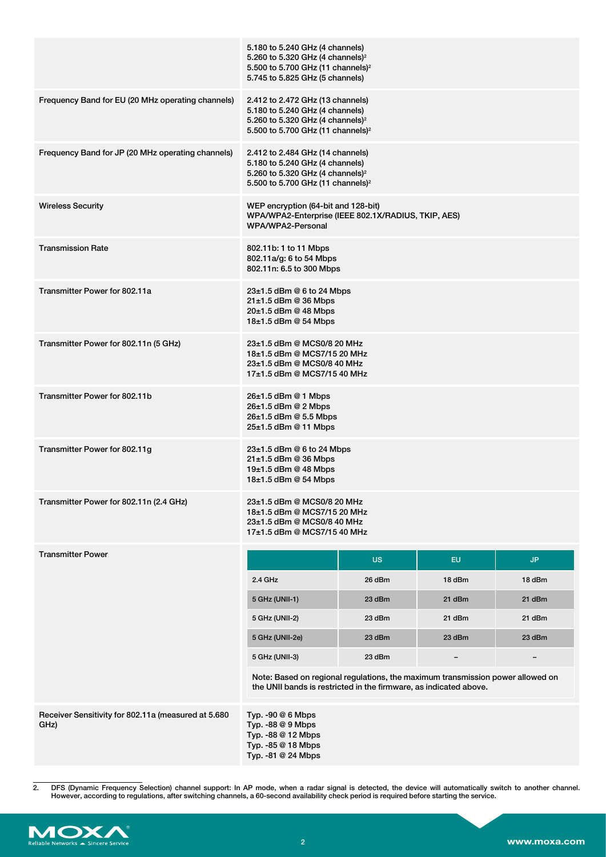|                                                             | 5.180 to 5.240 GHz (4 channels)<br>5.260 to 5.320 GHz (4 channels) <sup>2</sup><br>5.500 to 5.700 GHz (11 channels) <sup>2</sup><br>5.745 to 5.825 GHz (5 channels)  |           |           |                          |
|-------------------------------------------------------------|----------------------------------------------------------------------------------------------------------------------------------------------------------------------|-----------|-----------|--------------------------|
| Frequency Band for EU (20 MHz operating channels)           | 2.412 to 2.472 GHz (13 channels)<br>5.180 to 5.240 GHz (4 channels)<br>5.260 to 5.320 GHz (4 channels) <sup>2</sup><br>5.500 to 5.700 GHz (11 channels) <sup>2</sup> |           |           |                          |
| Frequency Band for JP (20 MHz operating channels)           | 2.412 to 2.484 GHz (14 channels)<br>5.180 to 5.240 GHz (4 channels)<br>5.260 to 5.320 GHz (4 channels) <sup>2</sup><br>5.500 to 5.700 GHz (11 channels) <sup>2</sup> |           |           |                          |
| <b>Wireless Security</b>                                    | WEP encryption (64-bit and 128-bit)<br>WPA/WPA2-Enterprise (IEEE 802.1X/RADIUS, TKIP, AES)<br>WPA/WPA2-Personal                                                      |           |           |                          |
| <b>Transmission Rate</b>                                    | 802.11b: 1 to 11 Mbps<br>802.11a/g: 6 to 54 Mbps<br>802.11n: 6.5 to 300 Mbps                                                                                         |           |           |                          |
| Transmitter Power for 802.11a                               | 23±1.5 dBm @ 6 to 24 Mbps<br>$21\pm1.5$ dBm @ 36 Mbps<br>20±1.5 dBm @ 48 Mbps<br>18±1.5 dBm @ 54 Mbps                                                                |           |           |                          |
| Transmitter Power for 802.11n (5 GHz)                       | 23±1.5 dBm @ MCS0/8 20 MHz<br>18±1.5 dBm @ MCS7/15 20 MHz<br>23±1.5 dBm @ MCS0/8 40 MHz<br>17±1.5 dBm @ MCS7/15 40 MHz                                               |           |           |                          |
| Transmitter Power for 802.11b                               | 26±1.5 dBm @ 1 Mbps<br>$26±1.5$ dBm @ 2 Mbps<br>26±1.5 dBm @ 5.5 Mbps<br>25±1.5 dBm @ 11 Mbps                                                                        |           |           |                          |
| Transmitter Power for 802.11g                               | 23±1.5 dBm @ 6 to 24 Mbps<br>$21 \pm 1.5$ dBm @ 36 Mbps<br>$19±1.5$ dBm @ 48 Mbps<br>18±1.5 dBm @ 54 Mbps                                                            |           |           |                          |
| Transmitter Power for 802.11n (2.4 GHz)                     | 23±1.5 dBm @ MCS0/8 20 MHz<br>18±1.5 dBm @ MCS7/15 20 MHz<br>23±1.5 dBm @ MCS0/8 40 MHz<br>17±1.5 dBm @ MCS7/15 40 MHz                                               |           |           |                          |
| <b>Transmitter Power</b>                                    |                                                                                                                                                                      | <b>US</b> | <b>EU</b> | JP.                      |
|                                                             | 2.4 GHz                                                                                                                                                              | 26 dBm    | 18 dBm    | 18 dBm                   |
|                                                             | 5 GHz (UNII-1)                                                                                                                                                       | 23 dBm    | 21 dBm    | 21 dBm                   |
|                                                             | 5 GHz (UNII-2)                                                                                                                                                       | 23 dBm    | 21 dBm    | 21 dBm                   |
|                                                             | 5 GHz (UNII-2e)                                                                                                                                                      | 23 dBm    | 23 dBm    | 23 dBm                   |
|                                                             | 5 GHz (UNII-3)                                                                                                                                                       | 23 dBm    | -         | $\overline{\phantom{0}}$ |
|                                                             | Note: Based on regional regulations, the maximum transmission power allowed on<br>the UNII bands is restricted in the firmware, as indicated above.                  |           |           |                          |
| Receiver Sensitivity for 802.11a (measured at 5.680<br>GHz) | Typ. -90 $@6$ Mbps<br>Typ. -88 @ 9 Mbps<br>Typ. -88 @ 12 Mbps<br>Typ. -85 @ 18 Mbps<br>Typ. -81 @ 24 Mbps                                                            |           |           |                          |

<sup>2.</sup> DFS (Dynamic Frequency Selection) channel support: In AP mode, when a radar signal is detected, the device will automatically switch to another channel.<br>However, according to regulations, after switching channels, a 60-

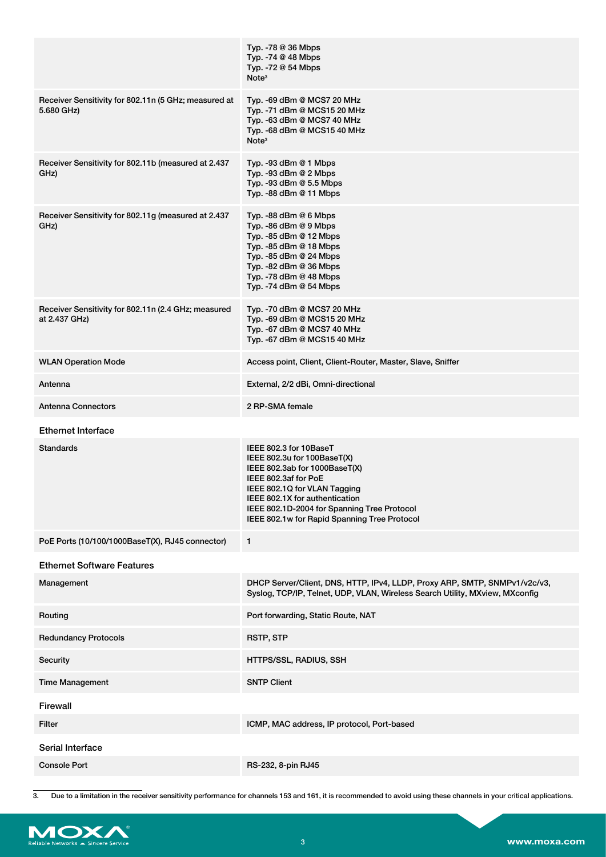|                                                                      | Typ. -78 @ 36 Mbps<br>Typ. -74 @ 48 Mbps<br>Typ. -72 @ 54 Mbps<br>Note <sup>3</sup>                                                                                                                                                                                             |
|----------------------------------------------------------------------|---------------------------------------------------------------------------------------------------------------------------------------------------------------------------------------------------------------------------------------------------------------------------------|
| Receiver Sensitivity for 802.11n (5 GHz; measured at<br>5.680 GHz)   | Typ. -69 dBm @ MCS7 20 MHz<br>Typ. -71 dBm @ MCS15 20 MHz<br>Typ. -63 dBm @ MCS7 40 MHz<br>Typ. -68 dBm @ MCS15 40 MHz<br>Note <sup>3</sup>                                                                                                                                     |
| Receiver Sensitivity for 802.11b (measured at 2.437<br>GHz)          | Typ. -93 dBm $@$ 1 Mbps<br>Typ. -93 dBm @ 2 Mbps<br>Typ. -93 dBm @ 5.5 Mbps<br>Typ. $-88$ dBm $@$ 11 Mbps                                                                                                                                                                       |
| Receiver Sensitivity for 802.11g (measured at 2.437<br>GHz)          | Typ. -88 dBm $@$ 6 Mbps<br>Typ. -86 dBm $@9$ Mbps<br>Typ. -85 dBm @ 12 Mbps<br>Typ. -85 dBm @ 18 Mbps<br>Typ. -85 dBm @ 24 Mbps<br>Typ. -82 dBm @ 36 Mbps<br>Typ. -78 dBm $@$ 48 Mbps<br>Typ. -74 dBm @ 54 Mbps                                                                 |
| Receiver Sensitivity for 802.11n (2.4 GHz; measured<br>at 2.437 GHz) | Typ. -70 dBm @ MCS7 20 MHz<br>Typ. -69 dBm @ MCS15 20 MHz<br>Typ. -67 dBm @ MCS7 40 MHz<br>Typ. -67 dBm @ MCS15 40 MHz                                                                                                                                                          |
| <b>WLAN Operation Mode</b>                                           | Access point, Client, Client-Router, Master, Slave, Sniffer                                                                                                                                                                                                                     |
| Antenna                                                              | External, 2/2 dBi, Omni-directional                                                                                                                                                                                                                                             |
| <b>Antenna Connectors</b>                                            | 2 RP-SMA female                                                                                                                                                                                                                                                                 |
| <b>Ethernet Interface</b>                                            |                                                                                                                                                                                                                                                                                 |
| <b>Standards</b>                                                     | IEEE 802.3 for 10BaseT<br>IEEE 802.3u for 100BaseT(X)<br>IEEE 802.3ab for 1000BaseT(X)<br>IEEE 802.3af for PoE<br>IEEE 802.1Q for VLAN Tagging<br>IEEE 802.1X for authentication<br>IEEE 802.1D-2004 for Spanning Tree Protocol<br>IEEE 802.1w for Rapid Spanning Tree Protocol |
| PoE Ports (10/100/1000BaseT(X), RJ45 connector)                      | $\mathbf{1}$                                                                                                                                                                                                                                                                    |
| <b>Ethernet Software Features</b>                                    |                                                                                                                                                                                                                                                                                 |
| Management                                                           | DHCP Server/Client, DNS, HTTP, IPv4, LLDP, Proxy ARP, SMTP, SNMPv1/v2c/v3,<br>Syslog, TCP/IP, Telnet, UDP, VLAN, Wireless Search Utility, MXview, MXconfig                                                                                                                      |
| Routing                                                              | Port forwarding, Static Route, NAT                                                                                                                                                                                                                                              |
| <b>Redundancy Protocols</b>                                          | <b>RSTP, STP</b>                                                                                                                                                                                                                                                                |
| Security                                                             | HTTPS/SSL, RADIUS, SSH                                                                                                                                                                                                                                                          |
| <b>Time Management</b>                                               | <b>SNTP Client</b>                                                                                                                                                                                                                                                              |
| Firewall                                                             |                                                                                                                                                                                                                                                                                 |
| <b>Filter</b>                                                        | ICMP, MAC address, IP protocol, Port-based                                                                                                                                                                                                                                      |
| Serial Interface                                                     |                                                                                                                                                                                                                                                                                 |
| <b>Console Port</b>                                                  | RS-232, 8-pin RJ45                                                                                                                                                                                                                                                              |

<sup>3.</sup> Due to a limitation in the receiver sensitivity performance for channels 153 and 161, it is recommended to avoid using these channels in your critical applications.

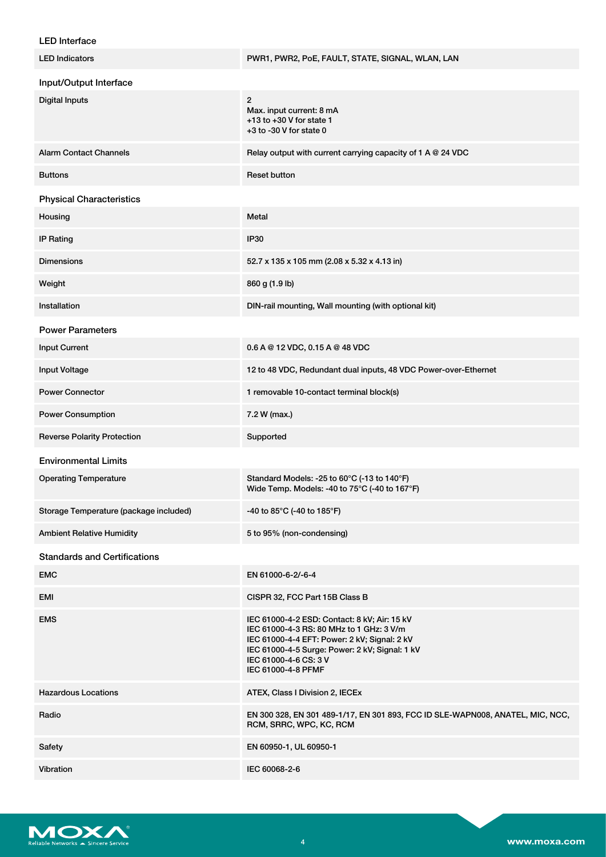## LED Interface

| <b>LED Indicators</b>                  | PWR1, PWR2, PoE, FAULT, STATE, SIGNAL, WLAN, LAN                                                                                                                                                                                          |
|----------------------------------------|-------------------------------------------------------------------------------------------------------------------------------------------------------------------------------------------------------------------------------------------|
| Input/Output Interface                 |                                                                                                                                                                                                                                           |
| <b>Digital Inputs</b>                  | $\mathbf{2}$<br>Max. input current: 8 mA<br>$+13$ to $+30$ V for state 1<br>$+3$ to -30 V for state 0                                                                                                                                     |
| <b>Alarm Contact Channels</b>          | Relay output with current carrying capacity of 1 A @ 24 VDC                                                                                                                                                                               |
| <b>Buttons</b>                         | <b>Reset button</b>                                                                                                                                                                                                                       |
| <b>Physical Characteristics</b>        |                                                                                                                                                                                                                                           |
| Housing                                | Metal                                                                                                                                                                                                                                     |
| <b>IP Rating</b>                       | <b>IP30</b>                                                                                                                                                                                                                               |
| <b>Dimensions</b>                      | 52.7 x 135 x 105 mm (2.08 x 5.32 x 4.13 in)                                                                                                                                                                                               |
| Weight                                 | 860 g (1.9 lb)                                                                                                                                                                                                                            |
| Installation                           | DIN-rail mounting, Wall mounting (with optional kit)                                                                                                                                                                                      |
| <b>Power Parameters</b>                |                                                                                                                                                                                                                                           |
| <b>Input Current</b>                   | $0.6$ A @ 12 VDC, 0.15 A @ 48 VDC                                                                                                                                                                                                         |
| <b>Input Voltage</b>                   | 12 to 48 VDC, Redundant dual inputs, 48 VDC Power-over-Ethernet                                                                                                                                                                           |
| <b>Power Connector</b>                 | 1 removable 10-contact terminal block(s)                                                                                                                                                                                                  |
| <b>Power Consumption</b>               | 7.2 W (max.)                                                                                                                                                                                                                              |
| <b>Reverse Polarity Protection</b>     | Supported                                                                                                                                                                                                                                 |
| <b>Environmental Limits</b>            |                                                                                                                                                                                                                                           |
| <b>Operating Temperature</b>           | Standard Models: -25 to 60°C (-13 to 140°F)<br>Wide Temp. Models: -40 to 75°C (-40 to 167°F)                                                                                                                                              |
| Storage Temperature (package included) | -40 to 85°C (-40 to 185°F)                                                                                                                                                                                                                |
| <b>Ambient Relative Humidity</b>       | 5 to 95% (non-condensing)                                                                                                                                                                                                                 |
| <b>Standards and Certifications</b>    |                                                                                                                                                                                                                                           |
| <b>EMC</b>                             | EN 61000-6-2/-6-4                                                                                                                                                                                                                         |
| EMI                                    | CISPR 32, FCC Part 15B Class B                                                                                                                                                                                                            |
| <b>EMS</b>                             | IEC 61000-4-2 ESD: Contact: 8 kV; Air: 15 kV<br>IEC 61000-4-3 RS: 80 MHz to 1 GHz: 3 V/m<br>IEC 61000-4-4 EFT: Power: 2 kV; Signal: 2 kV<br>IEC 61000-4-5 Surge: Power: 2 kV; Signal: 1 kV<br>IEC 61000-4-6 CS: 3 V<br>IEC 61000-4-8 PFMF |
| <b>Hazardous Locations</b>             | ATEX, Class I Division 2, IECEx                                                                                                                                                                                                           |
| Radio                                  | EN 300 328, EN 301 489-1/17, EN 301 893, FCC ID SLE-WAPN008, ANATEL, MIC, NCC,<br>RCM, SRRC, WPC, KC, RCM                                                                                                                                 |
| Safety                                 | EN 60950-1, UL 60950-1                                                                                                                                                                                                                    |
| Vibration                              | IEC 60068-2-6                                                                                                                                                                                                                             |

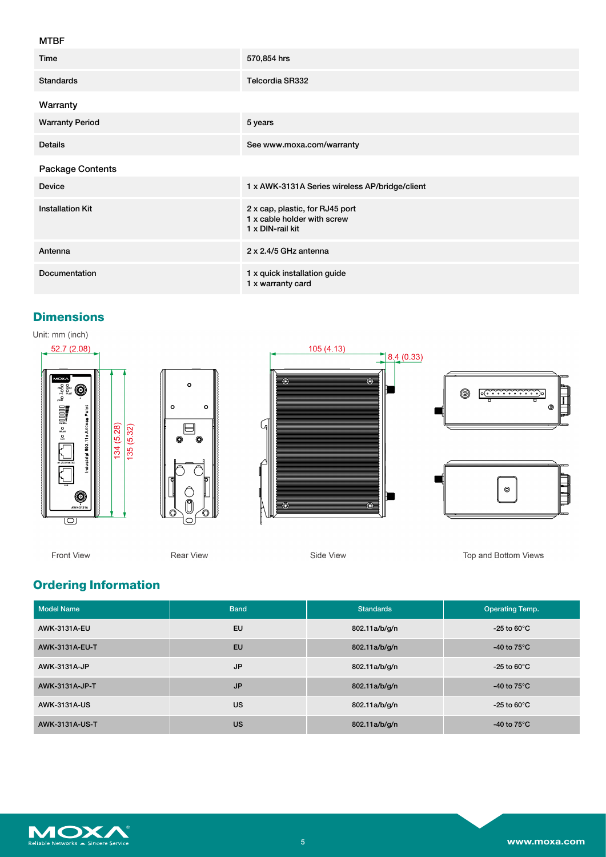## MTBF

| Time                    | 570,854 hrs                                                                        |
|-------------------------|------------------------------------------------------------------------------------|
| <b>Standards</b>        | Telcordia SR332                                                                    |
| Warranty                |                                                                                    |
| <b>Warranty Period</b>  | 5 years                                                                            |
| <b>Details</b>          | See www.moxa.com/warranty                                                          |
| Package Contents        |                                                                                    |
| Device                  | 1 x AWK-3131A Series wireless AP/bridge/client                                     |
| <b>Installation Kit</b> | 2 x cap, plastic, for RJ45 port<br>1 x cable holder with screw<br>1 x DIN-rail kit |
| Antenna                 | 2 x 2.4/5 GHz antenna                                                              |
| Documentation           | 1 x quick installation guide<br>1 x warranty card                                  |

## **Dimensions**

Unit: mm (inch)



Front View

**Rear View** 

Side View

Top and Bottom Views

# **Ordering Information**

| <b>Model Name</b> | <b>Band</b> | <b>Standards</b> | <b>Operating Temp.</b>   |
|-------------------|-------------|------------------|--------------------------|
| AWK-3131A-EU      | <b>EU</b>   | 802.11a/b/g/n    | $-25$ to 60 $^{\circ}$ C |
| AWK-3131A-EU-T    | <b>EU</b>   | 802.11a/b/g/n    | -40 to $75^{\circ}$ C    |
| AWK-3131A-JP      | <b>JP</b>   | 802.11a/b/g/n    | $-25$ to 60 $^{\circ}$ C |
| AWK-3131A-JP-T    | <b>JP</b>   | 802.11a/b/g/n    | -40 to $75^{\circ}$ C    |
| AWK-3131A-US      | <b>US</b>   | 802.11a/b/g/n    | $-25$ to 60 $^{\circ}$ C |
| AWK-3131A-US-T    | <b>US</b>   | 802.11a/b/g/n    | -40 to $75^{\circ}$ C    |